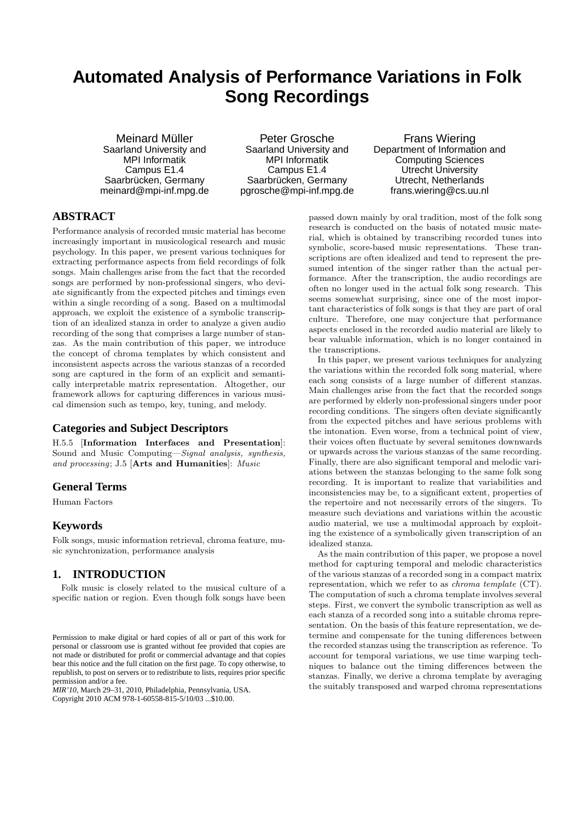# **Automated Analysis of Performance Variations in Folk Song Recordings**

Meinard Müller Saarland University and MPI Informatik Campus E1.4 Saarbrücken, Germany meinard@mpi-inf.mpg.de

Peter Grosche Saarland University and MPI Informatik Campus E1.4 Saarbrücken, Germany pgrosche@mpi-inf.mpg.de

Frans Wiering Department of Information and Computing Sciences Utrecht University Utrecht, Netherlands frans.wiering@cs.uu.nl

# **ABSTRACT**

Performance analysis of recorded music material has become increasingly important in musicological research and music psychology. In this paper, we present various techniques for extracting performance aspects from field recordings of folk songs. Main challenges arise from the fact that the recorded songs are performed by non-professional singers, who deviate significantly from the expected pitches and timings even within a single recording of a song. Based on a multimodal approach, we exploit the existence of a symbolic transcription of an idealized stanza in order to analyze a given audio recording of the song that comprises a large number of stanzas. As the main contribution of this paper, we introduce the concept of chroma templates by which consistent and inconsistent aspects across the various stanzas of a recorded song are captured in the form of an explicit and semantically interpretable matrix representation. Altogether, our framework allows for capturing differences in various musical dimension such as tempo, key, tuning, and melody.

# **Categories and Subject Descriptors**

H.5.5 [Information Interfaces and Presentation]: Sound and Music Computing—Signal analysis, synthesis, and processing; J.5 [Arts and Humanities]: Music

# **General Terms**

Human Factors

# **Keywords**

Folk songs, music information retrieval, chroma feature, music synchronization, performance analysis

# **1. INTRODUCTION**

Folk music is closely related to the musical culture of a specific nation or region. Even though folk songs have been

*MIR'10,* March 29–31, 2010, Philadelphia, Pennsylvania, USA. Copyright 2010 ACM 978-1-60558-815-5/10/03 ...\$10.00.

passed down mainly by oral tradition, most of the folk song research is conducted on the basis of notated music material, which is obtained by transcribing recorded tunes into symbolic, score-based music representations. These transcriptions are often idealized and tend to represent the presumed intention of the singer rather than the actual performance. After the transcription, the audio recordings are often no longer used in the actual folk song research. This seems somewhat surprising, since one of the most important characteristics of folk songs is that they are part of oral culture. Therefore, one may conjecture that performance aspects enclosed in the recorded audio material are likely to bear valuable information, which is no longer contained in the transcriptions.

In this paper, we present various techniques for analyzing the variations within the recorded folk song material, where each song consists of a large number of different stanzas. Main challenges arise from the fact that the recorded songs are performed by elderly non-professional singers under poor recording conditions. The singers often deviate significantly from the expected pitches and have serious problems with the intonation. Even worse, from a technical point of view, their voices often fluctuate by several semitones downwards or upwards across the various stanzas of the same recording. Finally, there are also significant temporal and melodic variations between the stanzas belonging to the same folk song recording. It is important to realize that variabilities and inconsistencies may be, to a significant extent, properties of the repertoire and not necessarily errors of the singers. To measure such deviations and variations within the acoustic audio material, we use a multimodal approach by exploiting the existence of a symbolically given transcription of an idealized stanza.

As the main contribution of this paper, we propose a novel method for capturing temporal and melodic characteristics of the various stanzas of a recorded song in a compact matrix representation, which we refer to as chroma template (CT). The computation of such a chroma template involves several steps. First, we convert the symbolic transcription as well as each stanza of a recorded song into a suitable chroma representation. On the basis of this feature representation, we determine and compensate for the tuning differences between the recorded stanzas using the transcription as reference. To account for temporal variations, we use time warping techniques to balance out the timing differences between the stanzas. Finally, we derive a chroma template by averaging the suitably transposed and warped chroma representations

Permission to make digital or hard copies of all or part of this work for personal or classroom use is granted without fee provided that copies are not made or distributed for profit or commercial advantage and that copies bear this notice and the full citation on the first page. To copy otherwise, to republish, to post on servers or to redistribute to lists, requires prior specific permission and/or a fee.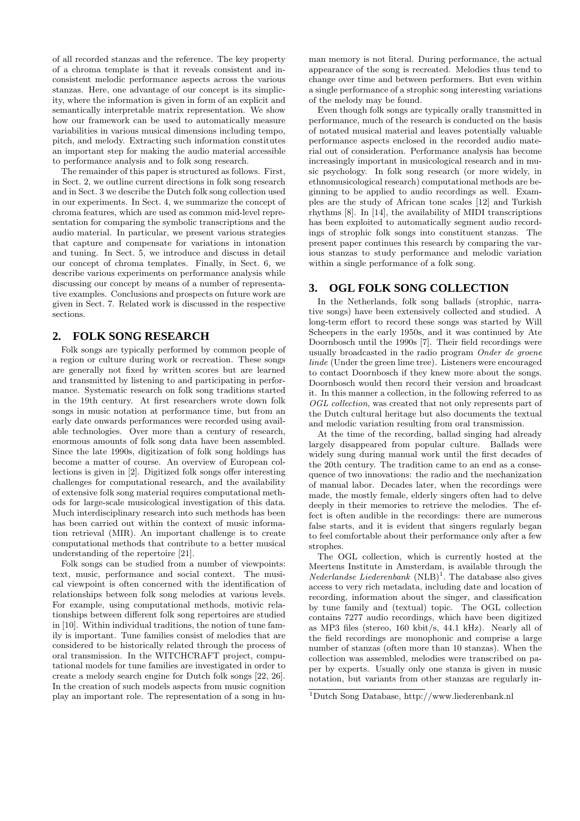of all recorded stanzas and the reference. The key property of a chroma template is that it reveals consistent and inconsistent melodic performance aspects across the various stanzas. Here, one advantage of our concept is its simplicity, where the information is given in form of an explicit and semantically interpretable matrix representation. We show how our framework can be used to automatically measure variabilities in various musical dimensions including tempo, pitch, and melody. Extracting such information constitutes an important step for making the audio material accessible to performance analysis and to folk song research.

The remainder of this paper is structured as follows. First, in Sect. 2, we outline current directions in folk song research and in Sect. 3 we describe the Dutch folk song collection used in our experiments. In Sect. 4, we summarize the concept of chroma features, which are used as common mid-level representation for comparing the symbolic transcriptions and the audio material. In particular, we present various strategies that capture and compensate for variations in intonation and tuning. In Sect. 5, we introduce and discuss in detail our concept of chroma templates. Finally, in Sect. 6, we describe various experiments on performance analysis while discussing our concept by means of a number of representative examples. Conclusions and prospects on future work are given in Sect. 7. Related work is discussed in the respective sections.

### **2. FOLK SONG RESEARCH**

Folk songs are typically performed by common people of a region or culture during work or recreation. These songs are generally not fixed by written scores but are learned and transmitted by listening to and participating in performance. Systematic research on folk song traditions started in the 19th century. At first researchers wrote down folk songs in music notation at performance time, but from an early date onwards performances were recorded using available technologies. Over more than a century of research, enormous amounts of folk song data have been assembled. Since the late 1990s, digitization of folk song holdings has become a matter of course. An overview of European collections is given in [2]. Digitized folk songs offer interesting challenges for computational research, and the availability of extensive folk song material requires computational methods for large-scale musicological investigation of this data. Much interdisciplinary research into such methods has been has been carried out within the context of music information retrieval (MIR). An important challenge is to create computational methods that contribute to a better musical understanding of the repertoire [21].

Folk songs can be studied from a number of viewpoints: text, music, performance and social context. The musical viewpoint is often concerned with the identification of relationships between folk song melodies at various levels. For example, using computational methods, motivic relationships between different folk song repertoires are studied in [10]. Within individual traditions, the notion of tune family is important. Tune families consist of melodies that are considered to be historically related through the process of oral transmission. In the WITCHCRAFT project, computational models for tune families are investigated in order to create a melody search engine for Dutch folk songs [22, 26]. In the creation of such models aspects from music cognition play an important role. The representation of a song in hu-

man memory is not literal. During performance, the actual appearance of the song is recreated. Melodies thus tend to change over time and between performers. But even within a single performance of a strophic song interesting variations of the melody may be found.

Even though folk songs are typically orally transmitted in performance, much of the research is conducted on the basis of notated musical material and leaves potentially valuable performance aspects enclosed in the recorded audio material out of consideration. Performance analysis has become increasingly important in musicological research and in music psychology. In folk song research (or more widely, in ethnomusicological research) computational methods are beginning to be applied to audio recordings as well. Examples are the study of African tone scales [12] and Turkish rhythms [8]. In [14], the availability of MIDI transcriptions has been exploited to automatically segment audio recordings of strophic folk songs into constituent stanzas. The present paper continues this research by comparing the various stanzas to study performance and melodic variation within a single performance of a folk song.

### **3. OGL FOLK SONG COLLECTION**

In the Netherlands, folk song ballads (strophic, narrative songs) have been extensively collected and studied. A long-term effort to record these songs was started by Will Scheepers in the early 1950s, and it was continued by Ate Doornbosch until the 1990s [7]. Their field recordings were usually broadcasted in the radio program Onder de groene linde (Under the green lime tree). Listeners were encouraged to contact Doornbosch if they knew more about the songs. Doornbosch would then record their version and broadcast it. In this manner a collection, in the following referred to as OGL collection, was created that not only represents part of the Dutch cultural heritage but also documents the textual and melodic variation resulting from oral transmission.

At the time of the recording, ballad singing had already largely disappeared from popular culture. Ballads were widely sung during manual work until the first decades of the 20th century. The tradition came to an end as a consequence of two innovations: the radio and the mechanization of manual labor. Decades later, when the recordings were made, the mostly female, elderly singers often had to delve deeply in their memories to retrieve the melodies. The effect is often audible in the recordings: there are numerous false starts, and it is evident that singers regularly began to feel comfortable about their performance only after a few strophes.

The OGL collection, which is currently hosted at the Meertens Institute in Amsterdam, is available through the *Nederlandse Liederenbank*  $(NLB)^1$ . The database also gives access to very rich metadata, including date and location of recording, information about the singer, and classification by tune family and (textual) topic. The OGL collection contains 7277 audio recordings, which have been digitized as MP3 files (stereo, 160 kbit/s, 44.1 kHz). Nearly all of the field recordings are monophonic and comprise a large number of stanzas (often more than 10 stanzas). When the collection was assembled, melodies were transcribed on paper by experts. Usually only one stanza is given in music notation, but variants from other stanzas are regularly in-

 $^1\rm{Dutch}$ Song Database, http://www.liederenbank.nl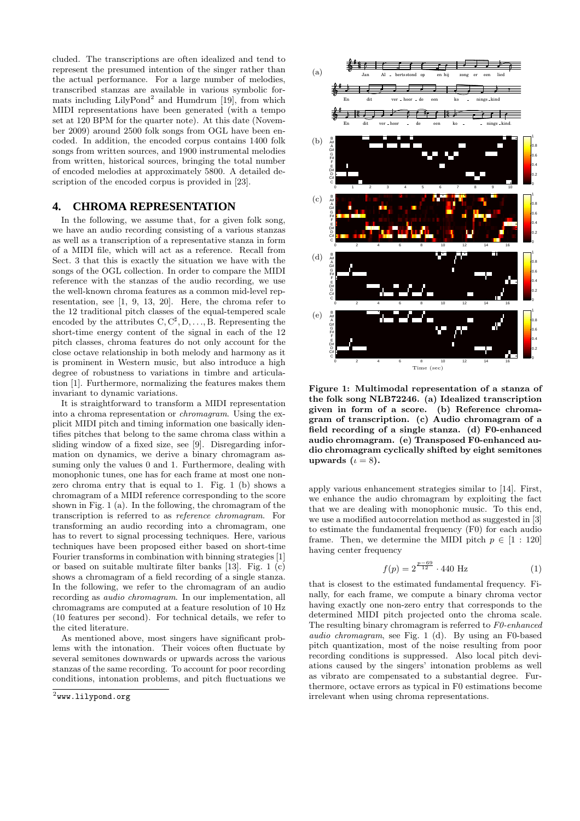cluded. The transcriptions are often idealized and tend to represent the presumed intention of the singer rather than the actual performance. For a large number of melodies, transcribed stanzas are available in various symbolic formats including  $LilyPond<sup>2</sup>$  and Humdrum [19], from which MIDI representations have been generated (with a tempo set at 120 BPM for the quarter note). At this date (November 2009) around 2500 folk songs from OGL have been encoded. In addition, the encoded corpus contains 1400 folk songs from written sources, and 1900 instrumental melodies from written, historical sources, bringing the total number of encoded melodies at approximately 5800. A detailed description of the encoded corpus is provided in [23].

#### **4. CHROMA REPRESENTATION**

In the following, we assume that, for a given folk song, we have an audio recording consisting of a various stanzas as well as a transcription of a representative stanza in form of a MIDI file, which will act as a reference. Recall from Sect. 3 that this is exactly the situation we have with the songs of the OGL collection. In order to compare the MIDI reference with the stanzas of the audio recording, we use the well-known chroma features as a common mid-level representation, see [1, 9, 13, 20]. Here, the chroma refer to the 12 traditional pitch classes of the equal-tempered scale encoded by the attributes  $C, C^{\sharp}, D, \ldots, B$ . Representing the short-time energy content of the signal in each of the 12 pitch classes, chroma features do not only account for the close octave relationship in both melody and harmony as it is prominent in Western music, but also introduce a high degree of robustness to variations in timbre and articulation [1]. Furthermore, normalizing the features makes them invariant to dynamic variations.

It is straightforward to transform a MIDI representation into a chroma representation or chromagram. Using the explicit MIDI pitch and timing information one basically identifies pitches that belong to the same chroma class within a sliding window of a fixed size, see [9]. Disregarding information on dynamics, we derive a binary chromagram assuming only the values 0 and 1. Furthermore, dealing with monophonic tunes, one has for each frame at most one nonzero chroma entry that is equal to 1. Fig. 1 (b) shows a chromagram of a MIDI reference corresponding to the score shown in Fig. 1 (a). In the following, the chromagram of the transcription is referred to as reference chromagram. For transforming an audio recording into a chromagram, one has to revert to signal processing techniques. Here, various techniques have been proposed either based on short-time Fourier transforms in combination with binning strategies [1] or based on suitable multirate filter banks [13]. Fig. 1 (c) shows a chromagram of a field recording of a single stanza. In the following, we refer to the chromagram of an audio recording as audio chromagram. In our implementation, all chromagrams are computed at a feature resolution of 10 Hz (10 features per second). For technical details, we refer to the cited literature.

As mentioned above, most singers have significant problems with the intonation. Their voices often fluctuate by several semitones downwards or upwards across the various stanzas of the same recording. To account for poor recording conditions, intonation problems, and pitch fluctuations we



Figure 1: Multimodal representation of a stanza of the folk song NLB72246. (a) Idealized transcription given in form of a score. (b) Reference chromagram of transcription. (c) Audio chromagram of a field recording of a single stanza. (d) F0-enhanced audio chromagram. (e) Transposed F0-enhanced audio chromagram cyclically shifted by eight semitones upwards  $(\iota = 8)$ .

apply various enhancement strategies similar to [14]. First, we enhance the audio chromagram by exploiting the fact that we are dealing with monophonic music. To this end, we use a modified autocorrelation method as suggested in [3] to estimate the fundamental frequency (F0) for each audio frame. Then, we determine the MIDI pitch  $p \in [1 : 120]$ having center frequency

$$
f(p) = 2^{\frac{p-69}{12}} \cdot 440 \text{ Hz} \tag{1}
$$

that is closest to the estimated fundamental frequency. Finally, for each frame, we compute a binary chroma vector having exactly one non-zero entry that corresponds to the determined MIDI pitch projected onto the chroma scale. The resulting binary chromagram is referred to  $F0$ -enhanced audio chromagram, see Fig. 1 (d). By using an F0-based pitch quantization, most of the noise resulting from poor recording conditions is suppressed. Also local pitch deviations caused by the singers' intonation problems as well as vibrato are compensated to a substantial degree. Furthermore, octave errors as typical in F0 estimations become irrelevant when using chroma representations.

 $^2$ www.lilypond.org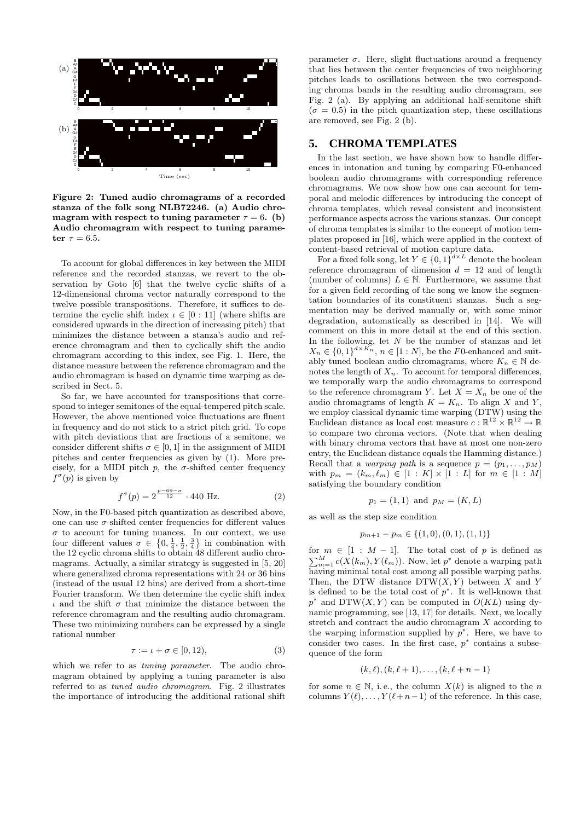

Figure 2: Tuned audio chromagrams of a recorded stanza of the folk song NLB72246. (a) Audio chromagram with respect to tuning parameter  $\tau = 6$ . (b) Audio chromagram with respect to tuning parameter  $\tau = 6.5$ .

To account for global differences in key between the MIDI reference and the recorded stanzas, we revert to the observation by Goto [6] that the twelve cyclic shifts of a 12-dimensional chroma vector naturally correspond to the twelve possible transpositions. Therefore, it suffices to determine the cyclic shift index  $\iota \in [0:11]$  (where shifts are considered upwards in the direction of increasing pitch) that minimizes the distance between a stanza's audio and reference chromagram and then to cyclically shift the audio chromagram according to this index, see Fig. 1. Here, the distance measure between the reference chromagram and the audio chromagram is based on dynamic time warping as described in Sect. 5.

So far, we have accounted for transpositions that correspond to integer semitones of the equal-tempered pitch scale. However, the above mentioned voice fluctuations are fluent in frequency and do not stick to a strict pitch grid. To cope with pitch deviations that are fractions of a semitone, we consider different shifts  $\sigma \in [0, 1]$  in the assignment of MIDI pitches and center frequencies as given by (1). More precisely, for a MIDI pitch  $p$ , the  $\sigma$ -shifted center frequency  $f^{\sigma}(p)$  is given by

$$
f^{\sigma}(p) = 2^{\frac{p-69-\sigma}{12}} \cdot 440 \text{ Hz.}
$$
 (2)

Now, in the F0-based pitch quantization as described above, one can use  $\sigma$ -shifted center frequencies for different values  $\sigma$  to account for tuning nuances. In our context, we use four different values  $\sigma \in \left\{0, \frac{1}{4}, \frac{1}{2}, \frac{3}{4}\right\}$  in combination with the 12 cyclic chroma shifts to obtain 48 different audio chromagrams. Actually, a similar strategy is suggested in [5, 20] where generalized chroma representations with 24 or 36 bins (instead of the usual 12 bins) are derived from a short-time Fourier transform. We then determine the cyclic shift index  $\iota$  and the shift  $\sigma$  that minimize the distance between the reference chromagram and the resulting audio chromagram. These two minimizing numbers can be expressed by a single rational number

$$
\tau := \iota + \sigma \in [0, 12),\tag{3}
$$

which we refer to as *tuning parameter*. The audio chromagram obtained by applying a tuning parameter is also referred to as tuned audio chromagram. Fig. 2 illustrates the importance of introducing the additional rational shift parameter  $\sigma$ . Here, slight fluctuations around a frequency that lies between the center frequencies of two neighboring pitches leads to oscillations between the two corresponding chroma bands in the resulting audio chromagram, see Fig. 2 (a). By applying an additional half-semitone shift  $(\sigma = 0.5)$  in the pitch quantization step, these oscillations are removed, see Fig. 2 (b).

#### **5. CHROMA TEMPLATES**

In the last section, we have shown how to handle differences in intonation and tuning by comparing F0-enhanced boolean audio chromagrams with corresponding reference chromagrams. We now show how one can account for temporal and melodic differences by introducing the concept of chroma templates, which reveal consistent and inconsistent performance aspects across the various stanzas. Our concept of chroma templates is similar to the concept of motion templates proposed in [16], which were applied in the context of content-based retrieval of motion capture data.

For a fixed folk song, let  $Y \in \{0,1\}^{d \times L}$  denote the boolean reference chromagram of dimension  $d = 12$  and of length (number of columns)  $L \in \mathbb{N}$ . Furthermore, we assume that for a given field recording of the song we know the segmentation boundaries of its constituent stanzas. Such a segmentation may be derived manually or, with some minor degradation, automatically as described in [14]. We will comment on this in more detail at the end of this section. In the following, let  $N$  be the number of stanzas and let  $X_n \in \{0,1\}^{d \times K_n}$ ,  $n \in [1:N]$ , be the F0-enhanced and suitably tuned boolean audio chromagrams, where  $K_n \in \mathbb{N}$  denotes the length of  $X_n$ . To account for temporal differences, we temporally warp the audio chromagrams to correspond to the reference chromagram Y. Let  $X = X_n$  be one of the audio chromagrams of length  $K = K_n$ . To align X and Y, we employ classical dynamic time warping (DTW) using the Euclidean distance as local cost measure  $c: \mathbb{R}^{12} \times \mathbb{R}^{12} \to \mathbb{R}$ to compare two chroma vectors. (Note that when dealing with binary chroma vectors that have at most one non-zero entry, the Euclidean distance equals the Hamming distance.) Recall that a *warping path* is a sequence  $p = (p_1, \ldots, p_M)$ with  $p_m = (k_m, \ell_m) \in [1 : K] \times [1 : L]$  for  $m \in [1 : M]$ satisfying the boundary condition

$$
p_1 = (1, 1)
$$
 and  $p_M = (K, L)$ 

as well as the step size condition

$$
p_{m+1} - p_m \in \{(1,0), (0,1), (1,1)\}
$$

for  $m \in [1 : M - 1]$ . The total cost of p is defined as  $\sum_{m=1}^{M} c(X(k_m), Y(\ell_m))$ . Now, let  $p^*$  denote a warping path having minimal total cost among all possible warping paths. Then, the DTW distance  $DTW(X, Y)$  between X and Y is defined to be the total cost of  $p^*$ . It is well-known that  $p^*$  and DTW $(X, Y)$  can be computed in  $O(KL)$  using dynamic programming, see [13, 17] for details. Next, we locally stretch and contract the audio chromagram X according to the warping information supplied by  $p^*$ . Here, we have to consider two cases. In the first case,  $p^*$  contains a subsequence of the form

$$
(k,\ell),(k,\ell+1),\ldots,(k,\ell+n-1)
$$

for some  $n \in \mathbb{N}$ , i.e., the column  $X(k)$  is aligned to the n columns  $Y(\ell), \ldots, Y(\ell+n-1)$  of the reference. In this case,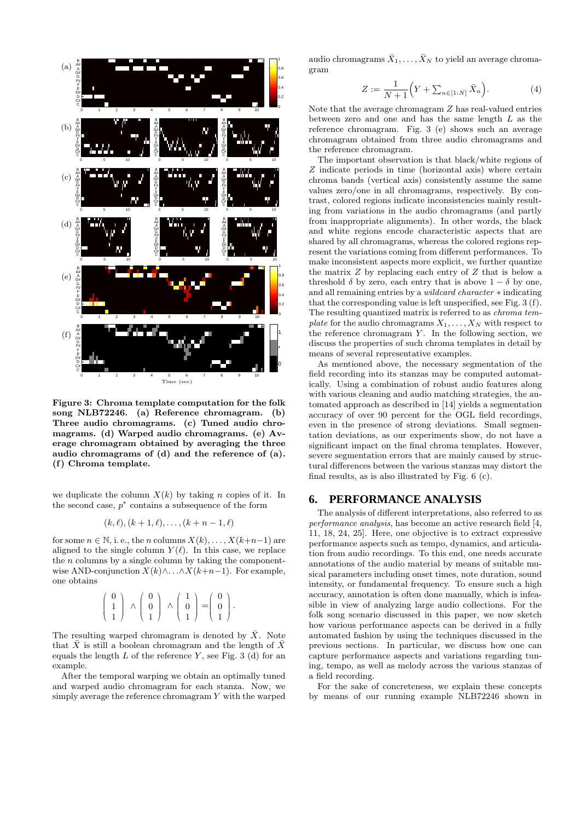

Figure 3: Chroma template computation for the folk song NLB72246. (a) Reference chromagram. (b) Three audio chromagrams. (c) Tuned audio chromagrams. (d) Warped audio chromagrams. (e) Average chromagram obtained by averaging the three audio chromagrams of (d) and the reference of (a). (f) Chroma template.

we duplicate the column  $X(k)$  by taking n copies of it. In the second case,  $p^*$  contains a subsequence of the form

$$
(k,\ell), (k+1,\ell), \ldots, (k+n-1,\ell)
$$

for some  $n \in \mathbb{N}$ , i. e., the n columns  $X(k), \ldots, X(k+n-1)$  are aligned to the single column  $Y(\ell)$ . In this case, we replace the  $n$  columns by a single column by taking the componentwise AND-conjunction  $X(k) \wedge \ldots \wedge X(k+n-1)$ . For example, one obtains

$$
\left(\begin{array}{c}0\\1\\1\end{array}\right)\wedge\left(\begin{array}{c}0\\0\\1\end{array}\right)\wedge\left(\begin{array}{c}1\\0\\1\end{array}\right)=\left(\begin{array}{c}0\\0\\1\end{array}\right).
$$

The resulting warped chromagram is denoted by  $\bar{X}$ . Note that  $\bar{X}$  is still a boolean chromagram and the length of  $\bar{X}$ equals the length  $L$  of the reference  $Y$ , see Fig. 3 (d) for an example.

After the temporal warping we obtain an optimally tuned and warped audio chromagram for each stanza. Now, we simply average the reference chromagram Y with the warped audio chromagrams  $\bar{X}_1, \ldots, \bar{X}_N$  to yield an average chromagram

$$
Z := \frac{1}{N+1} \Big( Y + \sum_{n \in [1:N]} \bar{X}_n \Big). \tag{4}
$$

Note that the average chromagram Z has real-valued entries between zero and one and has the same length L as the reference chromagram. Fig. 3 (e) shows such an average chromagram obtained from three audio chromagrams and the reference chromagram.

The important observation is that black/white regions of Z indicate periods in time (horizontal axis) where certain chroma bands (vertical axis) consistently assume the same values zero/one in all chromagrams, respectively. By contrast, colored regions indicate inconsistencies mainly resulting from variations in the audio chromagrams (and partly from inappropriate alignments). In other words, the black and white regions encode characteristic aspects that are shared by all chromagrams, whereas the colored regions represent the variations coming from different performances. To make inconsistent aspects more explicit, we further quantize the matrix  $Z$  by replacing each entry of  $Z$  that is below a threshold  $\delta$  by zero, each entry that is above  $1 - \delta$  by one, and all remaining entries by a wildcard character ∗ indicating that the corresponding value is left unspecified, see Fig. 3 (f). The resulting quantized matrix is referred to as *chroma tem*plate for the audio chromagrams  $X_1, \ldots, X_N$  with respect to the reference chromagram  $Y$ . In the following section, we discuss the properties of such chroma templates in detail by means of several representative examples.

As mentioned above, the necessary segmentation of the field recording into its stanzas may be computed automatically. Using a combination of robust audio features along with various cleaning and audio matching strategies, the automated approach as described in [14] yields a segmentation accuracy of over 90 percent for the OGL field recordings, even in the presence of strong deviations. Small segmentation deviations, as our experiments show, do not have a significant impact on the final chroma templates. However, severe segmentation errors that are mainly caused by structural differences between the various stanzas may distort the final results, as is also illustrated by Fig. 6 (c).

#### **6. PERFORMANCE ANALYSIS**

The analysis of different interpretations, also referred to as performance analysis, has become an active research field [4, 11, 18, 24, 25]. Here, one objective is to extract expressive performance aspects such as tempo, dynamics, and articulation from audio recordings. To this end, one needs accurate annotations of the audio material by means of suitable musical parameters including onset times, note duration, sound intensity, or fundamental frequency. To ensure such a high accuracy, annotation is often done manually, which is infeasible in view of analyzing large audio collections. For the folk song scenario discussed in this paper, we now sketch how various performance aspects can be derived in a fully automated fashion by using the techniques discussed in the previous sections. In particular, we discuss how one can capture performance aspects and variations regarding tuning, tempo, as well as melody across the various stanzas of a field recording.

For the sake of concreteness, we explain these concepts by means of our running example NLB72246 shown in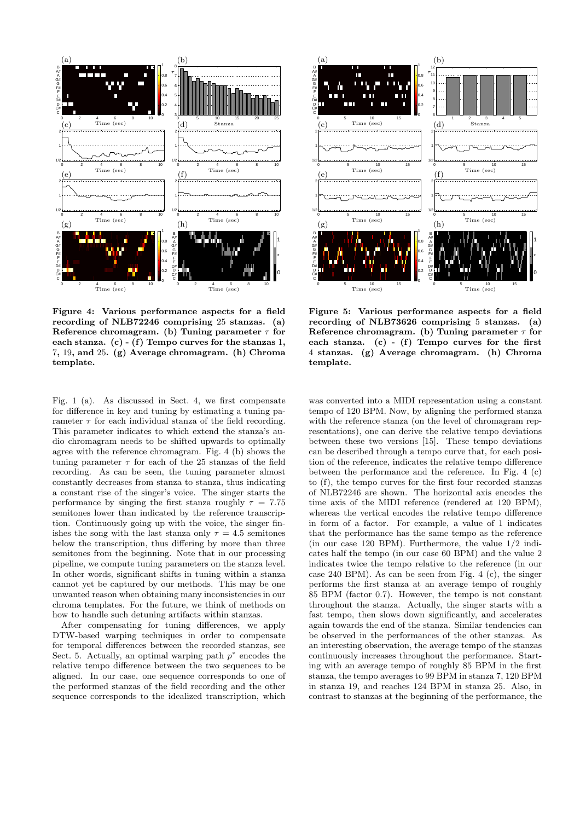

Figure 4: Various performance aspects for a field recording of NLB72246 comprising 25 stanzas. (a) Reference chromagram. (b) Tuning parameter  $\tau$  for each stanza.  $(c)$  -  $(f)$  Tempo curves for the stanzas 1, 7, 19, and 25. (g) Average chromagram. (h) Chroma template.

Fig. 1 (a). As discussed in Sect. 4, we first compensate for difference in key and tuning by estimating a tuning parameter  $\tau$  for each individual stanza of the field recording. This parameter indicates to which extend the stanza's audio chromagram needs to be shifted upwards to optimally agree with the reference chromagram. Fig. 4 (b) shows the tuning parameter  $\tau$  for each of the 25 stanzas of the field recording. As can be seen, the tuning parameter almost constantly decreases from stanza to stanza, thus indicating a constant rise of the singer's voice. The singer starts the performance by singing the first stanza roughly  $\tau = 7.75$ semitones lower than indicated by the reference transcription. Continuously going up with the voice, the singer finishes the song with the last stanza only  $\tau = 4.5$  semitones below the transcription, thus differing by more than three semitones from the beginning. Note that in our processing pipeline, we compute tuning parameters on the stanza level. In other words, significant shifts in tuning within a stanza cannot yet be captured by our methods. This may be one unwanted reason when obtaining many inconsistencies in our chroma templates. For the future, we think of methods on how to handle such detuning artifacts within stanzas.

After compensating for tuning differences, we apply DTW-based warping techniques in order to compensate for temporal differences between the recorded stanzas, see Sect. 5. Actually, an optimal warping path  $p^*$  encodes the relative tempo difference between the two sequences to be aligned. In our case, one sequence corresponds to one of the performed stanzas of the field recording and the other sequence corresponds to the idealized transcription, which



Figure 5: Various performance aspects for a field recording of NLB73626 comprising 5 stanzas. (a) Reference chromagram. (b) Tuning parameter  $\tau$  for each stanza. (c) - (f) Tempo curves for the first 4 stanzas. (g) Average chromagram. (h) Chroma template.

was converted into a MIDI representation using a constant tempo of 120 BPM. Now, by aligning the performed stanza with the reference stanza (on the level of chromagram representations), one can derive the relative tempo deviations between these two versions [15]. These tempo deviations can be described through a tempo curve that, for each position of the reference, indicates the relative tempo difference between the performance and the reference. In Fig. 4 (c) to (f), the tempo curves for the first four recorded stanzas of NLB72246 are shown. The horizontal axis encodes the time axis of the MIDI reference (rendered at 120 BPM), whereas the vertical encodes the relative tempo difference in form of a factor. For example, a value of 1 indicates that the performance has the same tempo as the reference (in our case 120 BPM). Furthermore, the value 1/2 indicates half the tempo (in our case 60 BPM) and the value 2 indicates twice the tempo relative to the reference (in our case 240 BPM). As can be seen from Fig. 4 (c), the singer performs the first stanza at an average tempo of roughly 85 BPM (factor 0.7). However, the tempo is not constant throughout the stanza. Actually, the singer starts with a fast tempo, then slows down significantly, and accelerates again towards the end of the stanza. Similar tendencies can be observed in the performances of the other stanzas. As an interesting observation, the average tempo of the stanzas continuously increases throughout the performance. Starting with an average tempo of roughly 85 BPM in the first stanza, the tempo averages to 99 BPM in stanza 7, 120 BPM in stanza 19, and reaches 124 BPM in stanza 25. Also, in contrast to stanzas at the beginning of the performance, the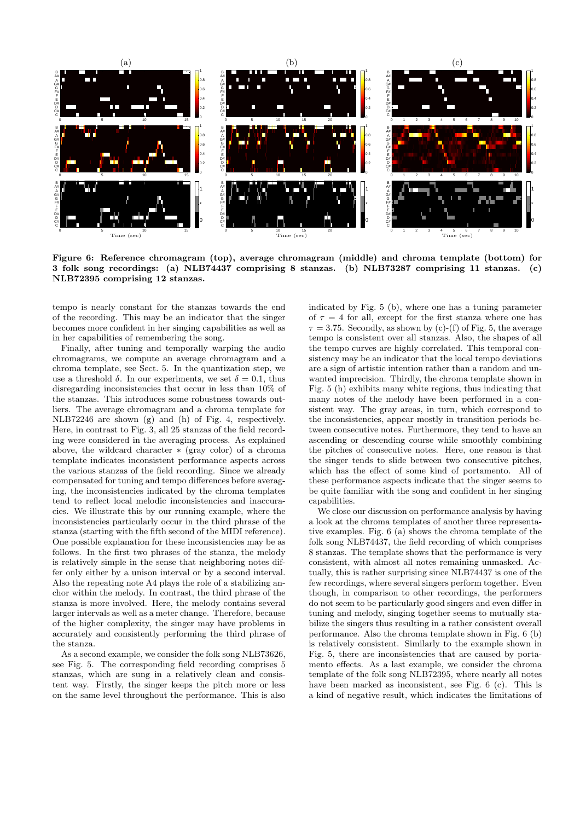

Figure 6: Reference chromagram (top), average chromagram (middle) and chroma template (bottom) for 3 folk song recordings: (a) NLB74437 comprising 8 stanzas. (b) NLB73287 comprising 11 stanzas. (c) NLB72395 comprising 12 stanzas.

tempo is nearly constant for the stanzas towards the end of the recording. This may be an indicator that the singer becomes more confident in her singing capabilities as well as in her capabilities of remembering the song.

Finally, after tuning and temporally warping the audio chromagrams, we compute an average chromagram and a chroma template, see Sect. 5. In the quantization step, we use a threshold  $\delta$ . In our experiments, we set  $\delta = 0.1$ , thus disregarding inconsistencies that occur in less than 10% of the stanzas. This introduces some robustness towards outliers. The average chromagram and a chroma template for NLB72246 are shown (g) and (h) of Fig. 4, respectively. Here, in contrast to Fig. 3, all 25 stanzas of the field recording were considered in the averaging process. As explained above, the wildcard character ∗ (gray color) of a chroma template indicates inconsistent performance aspects across the various stanzas of the field recording. Since we already compensated for tuning and tempo differences before averaging, the inconsistencies indicated by the chroma templates tend to reflect local melodic inconsistencies and inaccuracies. We illustrate this by our running example, where the inconsistencies particularly occur in the third phrase of the stanza (starting with the fifth second of the MIDI reference). One possible explanation for these inconsistencies may be as follows. In the first two phrases of the stanza, the melody is relatively simple in the sense that neighboring notes differ only either by a unison interval or by a second interval. Also the repeating note A4 plays the role of a stabilizing anchor within the melody. In contrast, the third phrase of the stanza is more involved. Here, the melody contains several larger intervals as well as a meter change. Therefore, because of the higher complexity, the singer may have problems in accurately and consistently performing the third phrase of the stanza.

As a second example, we consider the folk song NLB73626, see Fig. 5. The corresponding field recording comprises 5 stanzas, which are sung in a relatively clean and consistent way. Firstly, the singer keeps the pitch more or less on the same level throughout the performance. This is also indicated by Fig. 5 (b), where one has a tuning parameter of  $\tau = 4$  for all, except for the first stanza where one has  $\tau = 3.75$ . Secondly, as shown by (c)-(f) of Fig. 5, the average tempo is consistent over all stanzas. Also, the shapes of all the tempo curves are highly correlated. This temporal consistency may be an indicator that the local tempo deviations are a sign of artistic intention rather than a random and unwanted imprecision. Thirdly, the chroma template shown in Fig. 5 (h) exhibits many white regions, thus indicating that many notes of the melody have been performed in a consistent way. The gray areas, in turn, which correspond to the inconsistencies, appear mostly in transition periods between consecutive notes. Furthermore, they tend to have an ascending or descending course while smoothly combining the pitches of consecutive notes. Here, one reason is that the singer tends to slide between two consecutive pitches, which has the effect of some kind of portamento. All of these performance aspects indicate that the singer seems to be quite familiar with the song and confident in her singing capabilities.

We close our discussion on performance analysis by having a look at the chroma templates of another three representative examples. Fig. 6 (a) shows the chroma template of the folk song NLB74437, the field recording of which comprises 8 stanzas. The template shows that the performance is very consistent, with almost all notes remaining unmasked. Actually, this is rather surprising since NLB74437 is one of the few recordings, where several singers perform together. Even though, in comparison to other recordings, the performers do not seem to be particularly good singers and even differ in tuning and melody, singing together seems to mutually stabilize the singers thus resulting in a rather consistent overall performance. Also the chroma template shown in Fig. 6 (b) is relatively consistent. Similarly to the example shown in Fig. 5, there are inconsistencies that are caused by portamento effects. As a last example, we consider the chroma template of the folk song NLB72395, where nearly all notes have been marked as inconsistent, see Fig. 6 (c). This is a kind of negative result, which indicates the limitations of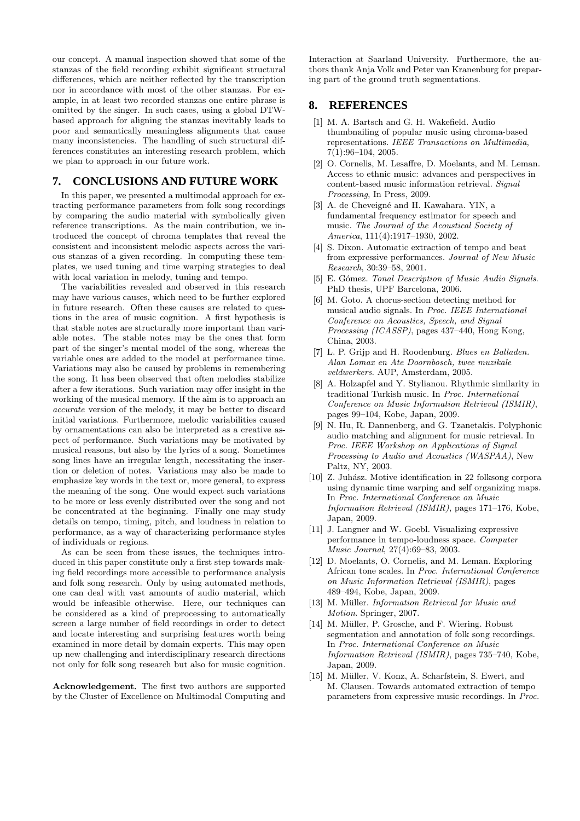our concept. A manual inspection showed that some of the stanzas of the field recording exhibit significant structural differences, which are neither reflected by the transcription nor in accordance with most of the other stanzas. For example, in at least two recorded stanzas one entire phrase is omitted by the singer. In such cases, using a global DTWbased approach for aligning the stanzas inevitably leads to poor and semantically meaningless alignments that cause many inconsistencies. The handling of such structural differences constitutes an interesting research problem, which we plan to approach in our future work.

### **7. CONCLUSIONS AND FUTURE WORK**

In this paper, we presented a multimodal approach for extracting performance parameters from folk song recordings by comparing the audio material with symbolically given reference transcriptions. As the main contribution, we introduced the concept of chroma templates that reveal the consistent and inconsistent melodic aspects across the various stanzas of a given recording. In computing these templates, we used tuning and time warping strategies to deal with local variation in melody, tuning and tempo.

The variabilities revealed and observed in this research may have various causes, which need to be further explored in future research. Often these causes are related to questions in the area of music cognition. A first hypothesis is that stable notes are structurally more important than variable notes. The stable notes may be the ones that form part of the singer's mental model of the song, whereas the variable ones are added to the model at performance time. Variations may also be caused by problems in remembering the song. It has been observed that often melodies stabilize after a few iterations. Such variation may offer insight in the working of the musical memory. If the aim is to approach an accurate version of the melody, it may be better to discard initial variations. Furthermore, melodic variabilities caused by ornamentations can also be interpreted as a creative aspect of performance. Such variations may be motivated by musical reasons, but also by the lyrics of a song. Sometimes song lines have an irregular length, necessitating the insertion or deletion of notes. Variations may also be made to emphasize key words in the text or, more general, to express the meaning of the song. One would expect such variations to be more or less evenly distributed over the song and not be concentrated at the beginning. Finally one may study details on tempo, timing, pitch, and loudness in relation to performance, as a way of characterizing performance styles of individuals or regions.

As can be seen from these issues, the techniques introduced in this paper constitute only a first step towards making field recordings more accessible to performance analysis and folk song research. Only by using automated methods, one can deal with vast amounts of audio material, which would be infeasible otherwise. Here, our techniques can be considered as a kind of preprocessing to automatically screen a large number of field recordings in order to detect and locate interesting and surprising features worth being examined in more detail by domain experts. This may open up new challenging and interdisciplinary research directions not only for folk song research but also for music cognition.

Acknowledgement*.* The first two authors are supported by the Cluster of Excellence on Multimodal Computing and

Interaction at Saarland University. Furthermore, the authors thank Anja Volk and Peter van Kranenburg for preparing part of the ground truth segmentations.

#### **8. REFERENCES**

- [1] M. A. Bartsch and G. H. Wakefield. Audio thumbnailing of popular music using chroma-based representations. IEEE Transactions on Multimedia, 7(1):96–104, 2005.
- [2] O. Cornelis, M. Lesaffre, D. Moelants, and M. Leman. Access to ethnic music: advances and perspectives in content-based music information retrieval. Signal Processing, In Press, 2009.
- [3] A. de Cheveigné and H. Kawahara. YIN, a fundamental frequency estimator for speech and music. The Journal of the Acoustical Society of America, 111(4):1917–1930, 2002.
- [4] S. Dixon. Automatic extraction of tempo and beat from expressive performances. Journal of New Music Research, 30:39–58, 2001.
- [5] E. Gómez. Tonal Description of Music Audio Signals. PhD thesis, UPF Barcelona, 2006.
- [6] M. Goto. A chorus-section detecting method for musical audio signals. In Proc. IEEE International Conference on Acoustics, Speech, and Signal Processing (ICASSP), pages 437–440, Hong Kong, China, 2003.
- [7] L. P. Grijp and H. Roodenburg. Blues en Balladen. Alan Lomax en Ate Doornbosch, twee muzikale veldwerkers. AUP, Amsterdam, 2005.
- [8] A. Holzapfel and Y. Stylianou. Rhythmic similarity in traditional Turkish music. In Proc. International Conference on Music Information Retrieval (ISMIR), pages 99–104, Kobe, Japan, 2009.
- [9] N. Hu, R. Dannenberg, and G. Tzanetakis. Polyphonic audio matching and alignment for music retrieval. In Proc. IEEE Workshop on Applications of Signal Processing to Audio and Acoustics (WASPAA), New Paltz, NY, 2003.
- [10] Z. Juhász. Motive identification in 22 folksong corpora using dynamic time warping and self organizing maps. In Proc. International Conference on Music Information Retrieval (ISMIR), pages 171–176, Kobe, Japan, 2009.
- [11] J. Langner and W. Goebl. Visualizing expressive performance in tempo-loudness space. Computer Music Journal, 27(4):69–83, 2003.
- [12] D. Moelants, O. Cornelis, and M. Leman. Exploring African tone scales. In Proc. International Conference on Music Information Retrieval (ISMIR), pages 489–494, Kobe, Japan, 2009.
- [13] M. Müller. *Information Retrieval for Music and* Motion. Springer, 2007.
- [14] M. Müller, P. Grosche, and F. Wiering. Robust segmentation and annotation of folk song recordings. In Proc. International Conference on Music Information Retrieval (ISMIR), pages 735–740, Kobe, Japan, 2009.
- [15] M. Müller, V. Konz, A. Scharfstein, S. Ewert, and M. Clausen. Towards automated extraction of tempo parameters from expressive music recordings. In Proc.